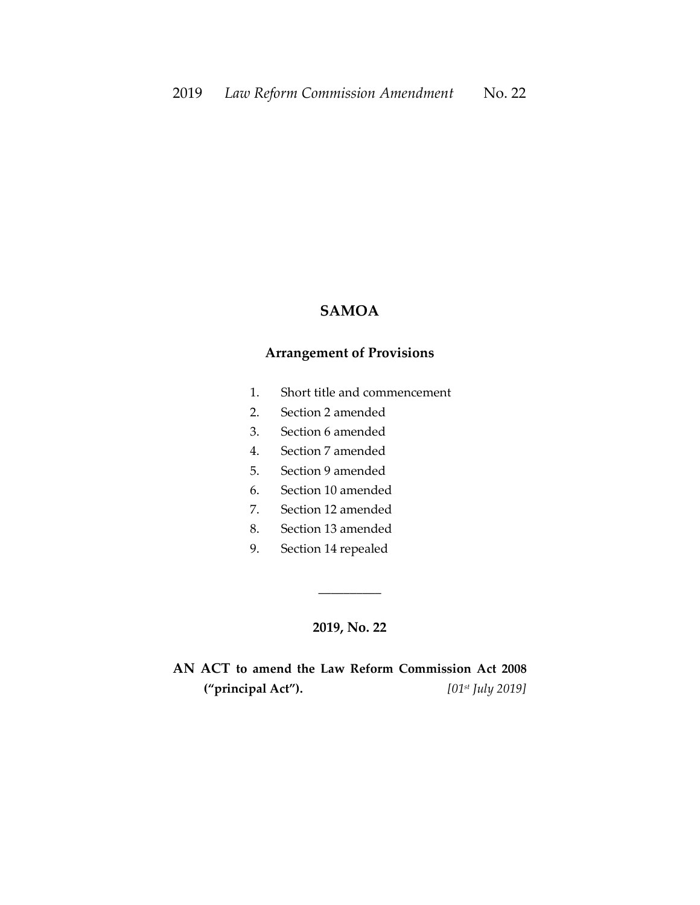# **SAMOA**

## **Arrangement of Provisions**

- 1. Short title and commencement
- 2. Section 2 amended
- 3. Section 6 amended
- 4. Section 7 amended
- 5. Section 9 amended
- 6. Section 10 amended
- 7. Section 12 amended
- 8. Section 13 amended
- 9. Section 14 repealed

#### **2019, No. 22**

\_\_\_\_\_\_\_\_\_\_

# **AN ACT to amend the Law Reform Commission Act 2008 ("principal Act").** *[01st July 2019]*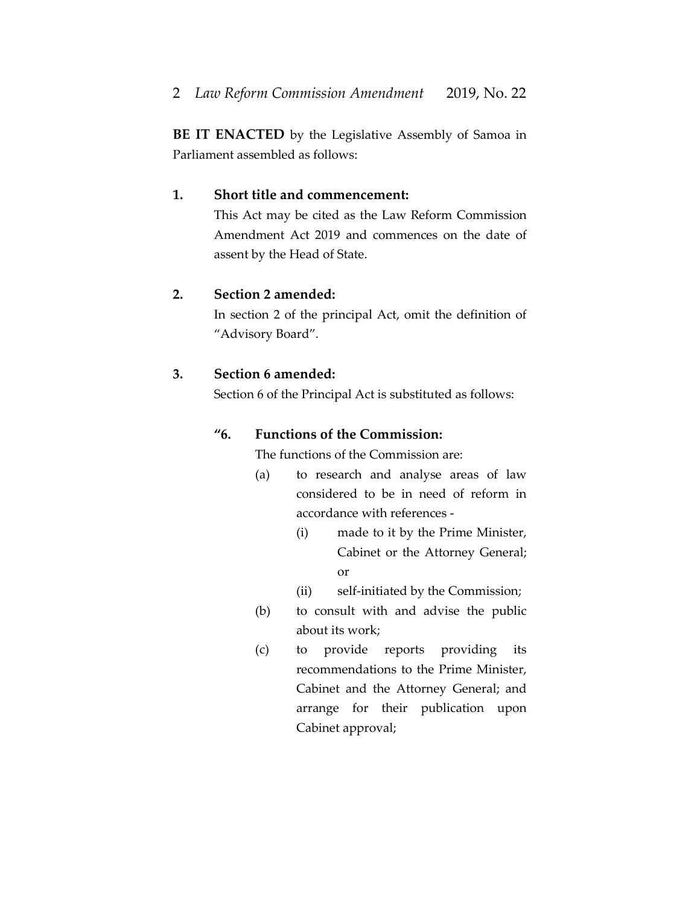**BE IT ENACTED** by the Legislative Assembly of Samoa in Parliament assembled as follows:

# **1. Short title and commencement:**

This Act may be cited as the Law Reform Commission Amendment Act 2019 and commences on the date of assent by the Head of State.

### **2. Section 2 amended:**

In section 2 of the principal Act, omit the definition of "Advisory Board".

## **3. Section 6 amended:**

Section 6 of the Principal Act is substituted as follows:

## **"6. Functions of the Commission:**

The functions of the Commission are:

- (a) to research and analyse areas of law considered to be in need of reform in accordance with references -
	- (i) made to it by the Prime Minister, Cabinet or the Attorney General; or
	- (ii) self-initiated by the Commission;
- (b) to consult with and advise the public about its work;
- (c) to provide reports providing its recommendations to the Prime Minister, Cabinet and the Attorney General; and arrange for their publication upon Cabinet approval;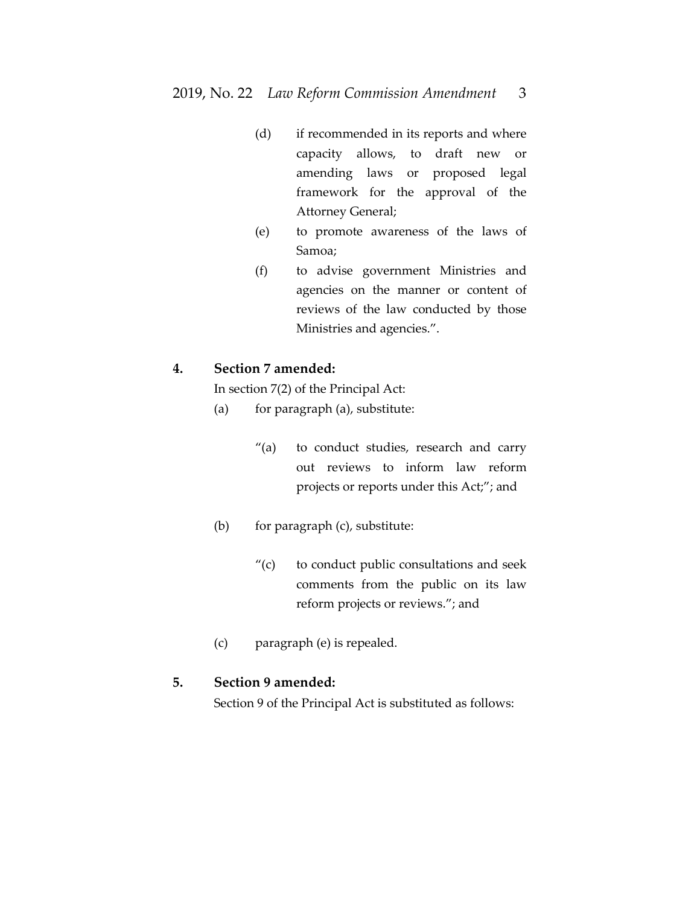- (d) if recommended in its reports and where capacity allows, to draft new or amending laws or proposed legal framework for the approval of the Attorney General;
- (e) to promote awareness of the laws of Samoa;
- (f) to advise government Ministries and agencies on the manner or content of reviews of the law conducted by those Ministries and agencies.".

#### **4. Section 7 amended:**

In section 7(2) of the Principal Act:

- (a) for paragraph (a), substitute:
	- "(a) to conduct studies, research and carry out reviews to inform law reform projects or reports under this Act;"; and
- (b) for paragraph (c), substitute:
	- "(c) to conduct public consultations and seek comments from the public on its law reform projects or reviews."; and
- (c) paragraph (e) is repealed.

### **5. Section 9 amended:**

Section 9 of the Principal Act is substituted as follows: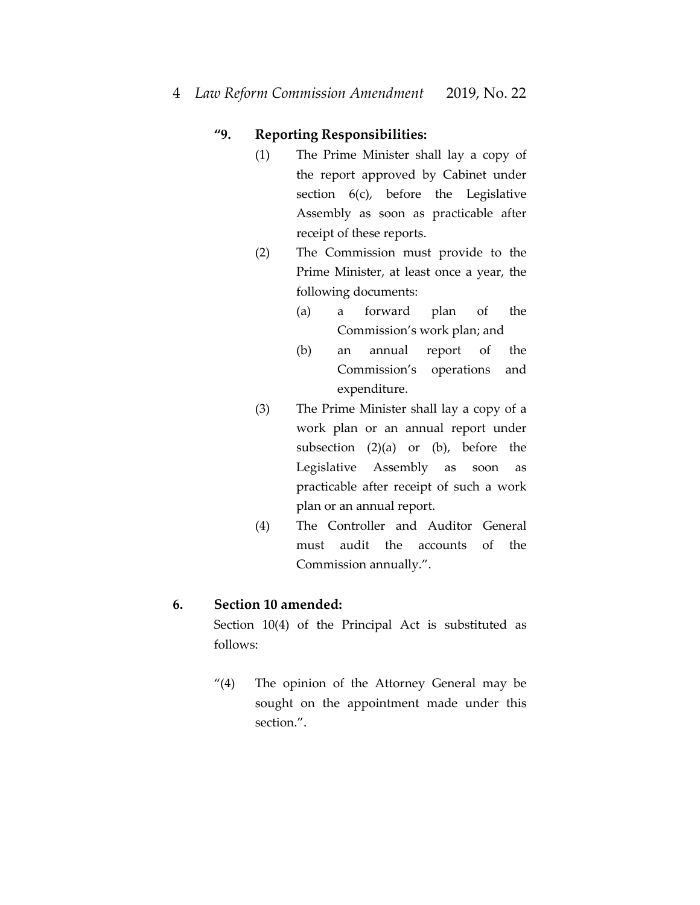# **"9. Reporting Responsibilities:**

- (1) The Prime Minister shall lay a copy of the report approved by Cabinet under section 6(c), before the Legislative Assembly as soon as practicable after receipt of these reports.
- (2) The Commission must provide to the Prime Minister, at least once a year, the following documents:
	- (a) a forward plan of the Commission's work plan; and
	- (b) an annual report of the Commission's operations and expenditure.
- (3) The Prime Minister shall lay a copy of a work plan or an annual report under subsection  $(2)(a)$  or  $(b)$ , before the Legislative Assembly as soon as practicable after receipt of such a work plan or an annual report.
- (4) The Controller and Auditor General must audit the accounts of the Commission annually.".

## **6. Section 10 amended:**

Section 10(4) of the Principal Act is substituted as follows:

"(4) The opinion of the Attorney General may be sought on the appointment made under this section.".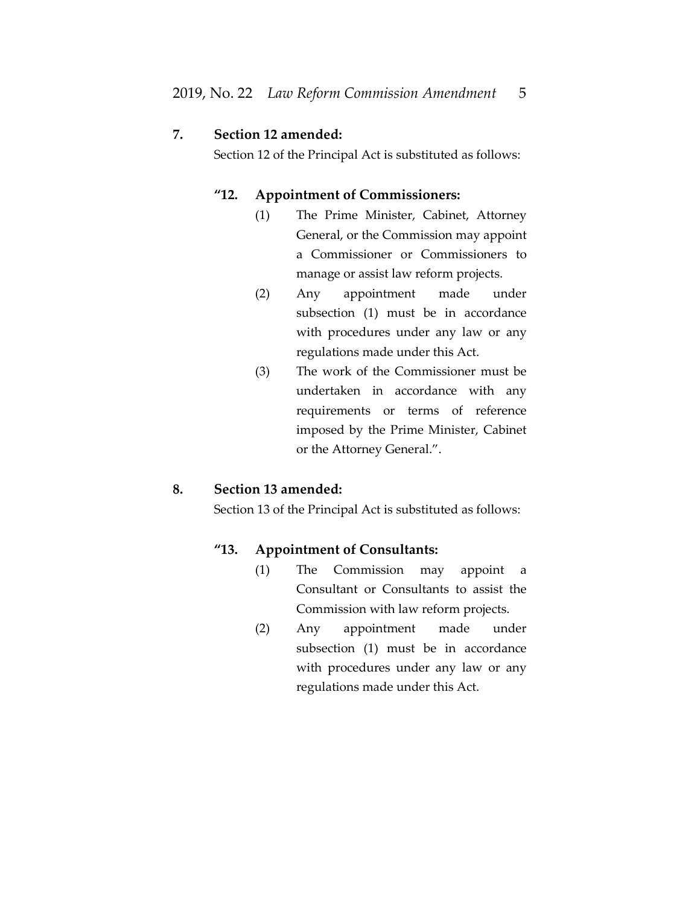#### **7. Section 12 amended:**

Section 12 of the Principal Act is substituted as follows:

## **"12. Appointment of Commissioners:**

- (1) The Prime Minister, Cabinet, Attorney General, or the Commission may appoint a Commissioner or Commissioners to manage or assist law reform projects.
- (2) Any appointment made under subsection (1) must be in accordance with procedures under any law or any regulations made under this Act.
- (3) The work of the Commissioner must be undertaken in accordance with any requirements or terms of reference imposed by the Prime Minister, Cabinet or the Attorney General.".

#### **8. Section 13 amended:**

Section 13 of the Principal Act is substituted as follows:

#### **"13. Appointment of Consultants:**

- (1) The Commission may appoint a Consultant or Consultants to assist the Commission with law reform projects.
- (2) Any appointment made under subsection (1) must be in accordance with procedures under any law or any regulations made under this Act.